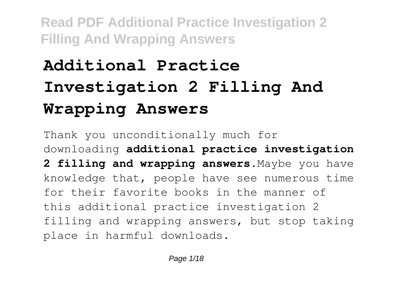# **Additional Practice Investigation 2 Filling And Wrapping Answers**

Thank you unconditionally much for downloading **additional practice investigation 2 filling and wrapping answers**.Maybe you have knowledge that, people have see numerous time for their favorite books in the manner of this additional practice investigation 2 filling and wrapping answers, but stop taking place in harmful downloads.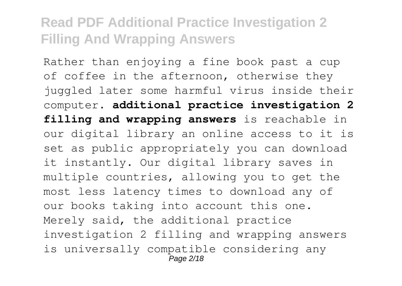Rather than enjoying a fine book past a cup of coffee in the afternoon, otherwise they juggled later some harmful virus inside their computer. **additional practice investigation 2 filling and wrapping answers** is reachable in our digital library an online access to it is set as public appropriately you can download it instantly. Our digital library saves in multiple countries, allowing you to get the most less latency times to download any of our books taking into account this one. Merely said, the additional practice investigation 2 filling and wrapping answers is universally compatible considering any Page 2/18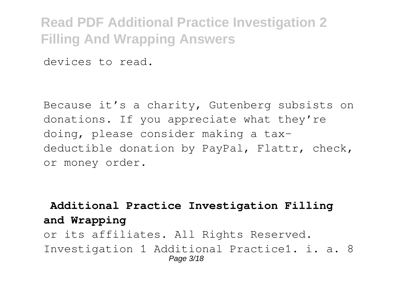devices to read.

Because it's a charity, Gutenberg subsists on donations. If you appreciate what they're doing, please consider making a taxdeductible donation by PayPal, Flattr, check, or money order.

### **Additional Practice Investigation Filling and Wrapping**

or its affiliates. All Rights Reserved. Investigation 1 Additional Practice1. i. a. 8 Page 3/18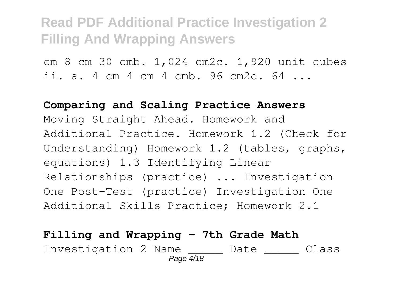cm 8 cm 30 cmb. 1,024 cm2c. 1,920 unit cubes ii. a. 4 cm 4 cm 4 cmb. 96 cm2c. 64 ...

**Comparing and Scaling Practice Answers** Moving Straight Ahead. Homework and Additional Practice. Homework 1.2 (Check for Understanding) Homework 1.2 (tables, graphs, equations) 1.3 Identifying Linear Relationships (practice) ... Investigation One Post-Test (practice) Investigation One Additional Skills Practice; Homework 2.1

### **Filling and Wrapping - 7th Grade Math** Investigation 2 Name \_\_\_\_\_ Date \_\_\_\_\_ Class Page 4/18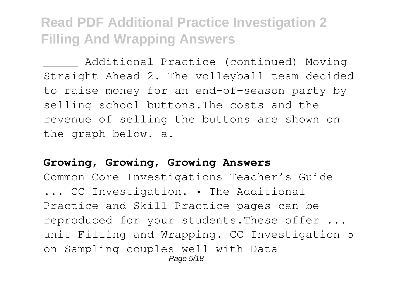Additional Practice (continued) Moving Straight Ahead 2. The volleyball team decided to raise money for an end-of-season party by selling school buttons.The costs and the revenue of selling the buttons are shown on the graph below. a.

### **Growing, Growing, Growing Answers**

Common Core Investigations Teacher's Guide ... CC Investigation. • The Additional Practice and Skill Practice pages can be reproduced for your students.These offer ... unit Filling and Wrapping. CC Investigation 5 on Sampling couples well with Data Page 5/18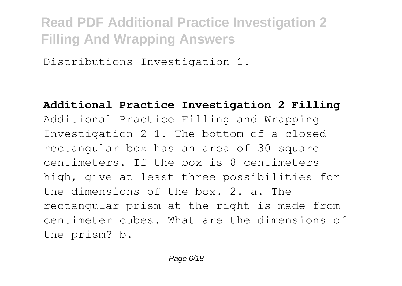Distributions Investigation 1.

**Additional Practice Investigation 2 Filling** Additional Practice Filling and Wrapping Investigation 2 1. The bottom of a closed rectangular box has an area of 30 square centimeters. If the box is 8 centimeters high, give at least three possibilities for the dimensions of the box. 2. a. The rectangular prism at the right is made from centimeter cubes. What are the dimensions of the prism? b.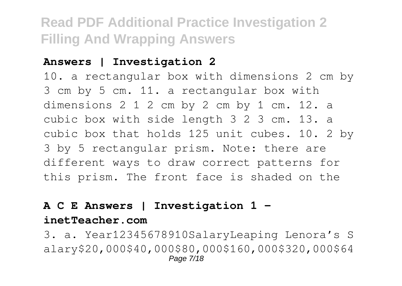### **Answers | Investigation 2**

10. a rectangular box with dimensions 2 cm by 3 cm by 5 cm. 11. a rectangular box with dimensions 2 1 2 cm by 2 cm by 1 cm. 12. a cubic box with side length 3 2 3 cm. 13. a cubic box that holds 125 unit cubes. 10. 2 by 3 by 5 rectangular prism. Note: there are different ways to draw correct patterns for this prism. The front face is shaded on the

### **A C E Answers | Investigation 1 -**

#### **inetTeacher.com**

3. a. Year12345678910SalaryLeaping Lenora's S alary\$20,000\$40,000\$80,000\$160,000\$320,000\$64 Page 7/18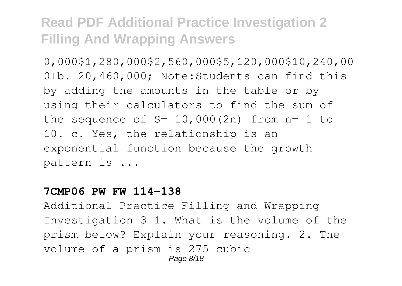0,000\$1,280,000\$2,560,000\$5,120,000\$10,240,00 0+b. 20,460,000; Note:Students can find this by adding the amounts in the table or by using their calculators to find the sum of the sequence of  $S = 10,000(2n)$  from  $n = 1$  to 10. c. Yes, the relationship is an exponential function because the growth pattern is ...

#### **7CMP06 PW FW 114-138**

Additional Practice Filling and Wrapping Investigation 3 1. What is the volume of the prism below? Explain your reasoning. 2. The volume of a prism is 275 cubic Page 8/18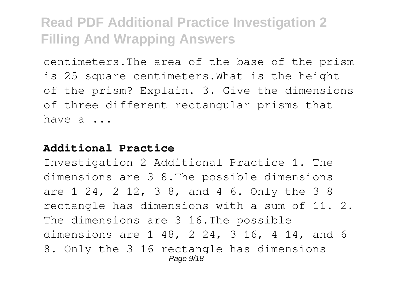centimeters.The area of the base of the prism is 25 square centimeters.What is the height of the prism? Explain. 3. Give the dimensions of three different rectangular prisms that have a ...

### **Additional Practice**

Investigation 2 Additional Practice 1. The dimensions are 3 8.The possible dimensions are 1 24, 2 12, 3 8, and 4 6. Only the 3 8 rectangle has dimensions with a sum of 11. 2. The dimensions are 3 16.The possible dimensions are 1 48, 2 24, 3 16, 4 14, and 6 8. Only the 3 16 rectangle has dimensions Page  $9/18$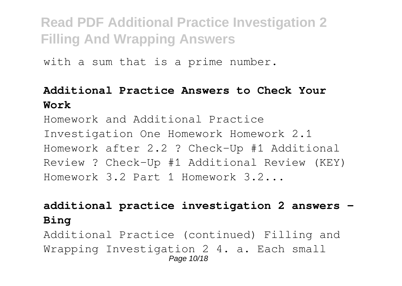with a sum that is a prime number.

### **Additional Practice Answers to Check Your Work**

Homework and Additional Practice Investigation One Homework Homework 2.1 Homework after 2.2 ? Check-Up #1 Additional Review ? Check-Up #1 Additional Review (KEY) Homework 3.2 Part 1 Homework 3.2...

### **additional practice investigation 2 answers - Bing**

Additional Practice (continued) Filling and Wrapping Investigation 2 4. a. Each small Page 10/18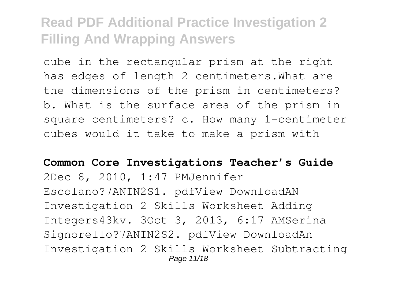cube in the rectangular prism at the right has edges of length 2 centimeters.What are the dimensions of the prism in centimeters? b. What is the surface area of the prism in square centimeters? c. How many 1-centimeter cubes would it take to make a prism with

#### **Common Core Investigations Teacher's Guide**

2Dec 8, 2010, 1:47 PMJennifer Escolano?7ANIN2S1. pdfView DownloadAN Investigation 2 Skills Worksheet Adding Integers43kv. 3Oct 3, 2013, 6:17 AMSerina Signorello?7ANIN2S2. pdfView DownloadAn Investigation 2 Skills Worksheet Subtracting Page 11/18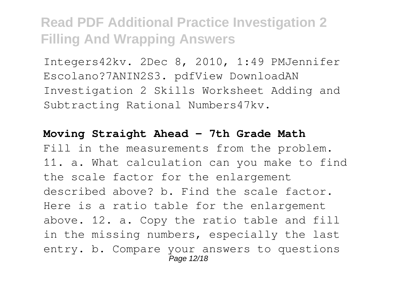Integers42kv. 2Dec 8, 2010, 1:49 PMJennifer Escolano?7ANIN2S3. pdfView DownloadAN Investigation 2 Skills Worksheet Adding and Subtracting Rational Numbers47kv.

#### **Moving Straight Ahead - 7th Grade Math**

Fill in the measurements from the problem. 11. a. What calculation can you make to find the scale factor for the enlargement described above? b. Find the scale factor. Here is a ratio table for the enlargement above. 12. a. Copy the ratio table and fill in the missing numbers, especially the last entry. b. Compare your answers to questions Page 12/18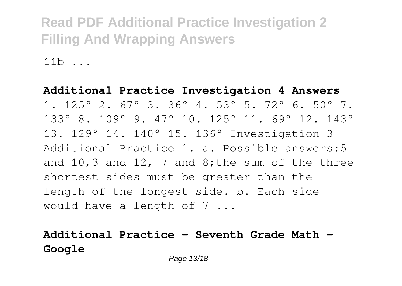$11h$ 

### **Additional Practice Investigation 4 Answers** 1. 125° 2. 67° 3. 36° 4. 53° 5. 72° 6. 50° 7. 133° 8. 109° 9. 47° 10. 125° 11. 69° 12. 143° 13. 129° 14. 140° 15. 136° Investigation 3 Additional Practice 1. a. Possible answers:5 and 10,3 and 12, 7 and 8: the sum of the three shortest sides must be greater than the length of the longest side. b. Each side would have a length of 7 ...

### **Additional Practice - Seventh Grade Math - Google**

Page 13/18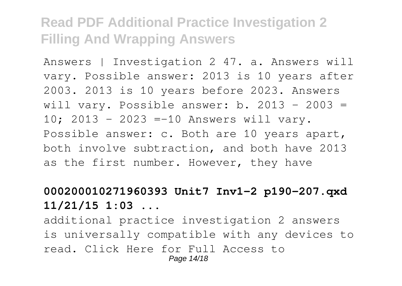Answers | Investigation 2 47. a. Answers will vary. Possible answer: 2013 is 10 years after 2003. 2013 is 10 years before 2023. Answers will vary. Possible answer: b.  $2013 - 2003 =$ 10; 2013 - 2023 =-10 Answers will vary. Possible answer: c. Both are 10 years apart, both involve subtraction, and both have 2013 as the first number. However, they have

### **000200010271960393 Unit7 Inv1-2 p190-207.qxd 11/21/15 1:03 ...**

additional practice investigation 2 answers is universally compatible with any devices to read. Click Here for Full Access to Page 14/18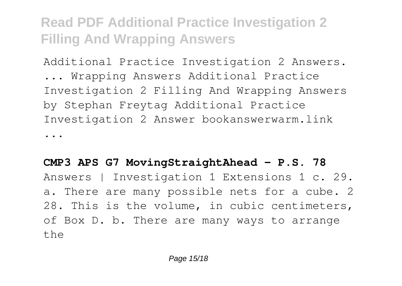Additional Practice Investigation 2 Answers.

... Wrapping Answers Additional Practice Investigation 2 Filling And Wrapping Answers by Stephan Freytag Additional Practice Investigation 2 Answer bookanswerwarm.link

...

### **CMP3 APS G7 MovingStraightAhead - P.S. 78**

Answers | Investigation 1 Extensions 1 c. 29. a. There are many possible nets for a cube. 2 28. This is the volume, in cubic centimeters, of Box D. b. There are many ways to arrange the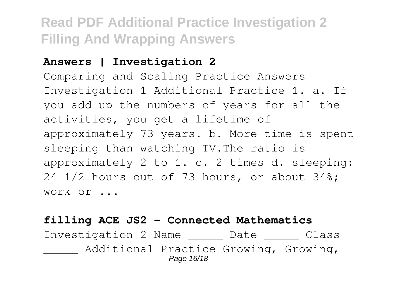### **Answers | Investigation 2**

Comparing and Scaling Practice Answers Investigation 1 Additional Practice 1. a. If you add up the numbers of years for all the activities, you get a lifetime of approximately 73 years. b. More time is spent sleeping than watching TV.The ratio is approximately 2 to 1. c. 2 times d. sleeping: 24 1/2 hours out of 73 hours, or about 34%; work or ...

### **filling ACE JS2 - Connected Mathematics**

Investigation 2 Name \_\_\_\_\_ Date \_\_\_\_\_ Class Additional Practice Growing, Growing, Page 16/18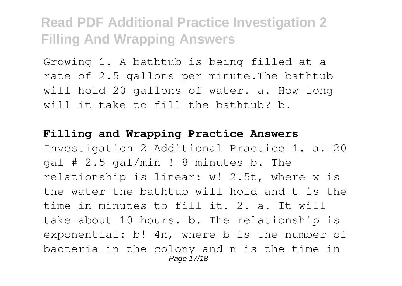Growing 1. A bathtub is being filled at a rate of 2.5 gallons per minute.The bathtub will hold 20 gallons of water. a. How long will it take to fill the bathtub? b.

#### **Filling and Wrapping Practice Answers**

Investigation 2 Additional Practice 1. a. 20 gal # 2.5 gal/min ! 8 minutes b. The relationship is linear: w! 2.5t, where w is the water the bathtub will hold and t is the time in minutes to fill it. 2. a. It will take about 10 hours. b. The relationship is exponential: b! 4n, where b is the number of bacteria in the colony and n is the time in Page 17/18